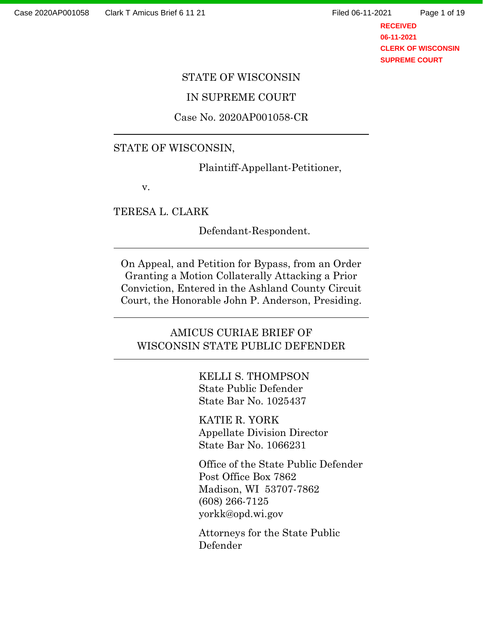l

l

l

Page 1 of 19

**RECEIVED 06-11-2021 CLERK OF WISCONSIN SUPREME COURT**

#### STATE OF WISCONSIN

### IN SUPREME COURT

### Case No. 2020AP001058-CR

### STATE OF WISCONSIN,

Plaintiff-Appellant-Petitioner,

v.

TERESA L. CLARK

Defendant-Respondent.

On Appeal, and Petition for Bypass, from an Order Granting a Motion Collaterally Attacking a Prior Conviction, Entered in the Ashland County Circuit Court, the Honorable John P. Anderson, Presiding.

## AMICUS CURIAE BRIEF OF WISCONSIN STATE PUBLIC DEFENDER

KELLI S. THOMPSON State Public Defender State Bar No. 1025437

KATIE R. YORK Appellate Division Director State Bar No. 1066231

Office of the State Public Defender Post Office Box 7862 Madison, WI 53707-7862 (608) 266-7125 yorkk@opd.wi.gov

Attorneys for the State Public Defender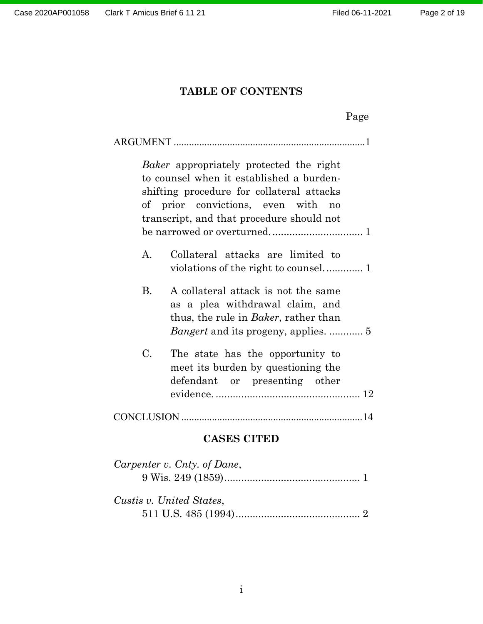## TABLE OF CONTENTS

|                                                                                                                                                                                                                            | Page |  |  |
|----------------------------------------------------------------------------------------------------------------------------------------------------------------------------------------------------------------------------|------|--|--|
|                                                                                                                                                                                                                            |      |  |  |
| <i>Baker</i> appropriately protected the right<br>to counsel when it established a burden-<br>shifting procedure for collateral attacks<br>of prior convictions, even with no<br>transcript, and that procedure should not |      |  |  |
| $\mathbf{A}$ .<br>Collateral attacks are limited to                                                                                                                                                                        |      |  |  |
| <b>B.</b><br>A collateral attack is not the same<br>as a plea withdrawal claim, and<br>thus, the rule in <i>Baker</i> , rather than                                                                                        |      |  |  |
| $\mathcal{C}$ .<br>The state has the opportunity to<br>meet its burden by questioning the<br>defendant or presenting other                                                                                                 |      |  |  |
|                                                                                                                                                                                                                            |      |  |  |
| <b>CASES CITED</b>                                                                                                                                                                                                         |      |  |  |
| Carpenter v. Cnty. of Dane,                                                                                                                                                                                                |      |  |  |

| $\sum_{i=1}^{n} a_i$<br>$9 \text{ Wis. } 249 \text{ (1859)} \dots$ |  |
|--------------------------------------------------------------------|--|
| Custis v. United States,                                           |  |
|                                                                    |  |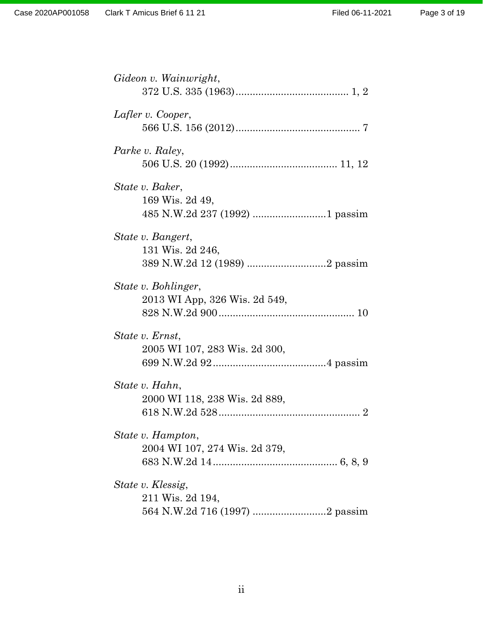| Gideon v. Wainwright,         |
|-------------------------------|
|                               |
|                               |
| Lafler v. Cooper,             |
|                               |
| Parke v. Raley,               |
|                               |
|                               |
| State v. Baker,               |
| 169 Wis. 2d 49,               |
|                               |
| State v. Bangert,             |
| 131 Wis. 2d 246,              |
|                               |
|                               |
| State v. Bohlinger,           |
| 2013 WI App, 326 Wis. 2d 549, |
|                               |
|                               |
| State v. Ernst,               |
| 2005 WI 107, 283 Wis. 2d 300, |
|                               |
| State v. Hahn,                |
| 2000 WI 118, 238 Wis. 2d 889, |
|                               |
|                               |
| State v. Hampton,             |
| 2004 WI 107, 274 Wis. 2d 379, |
|                               |
|                               |
| State v. Klessig,             |
| 211 Wis. 2d 194,              |
|                               |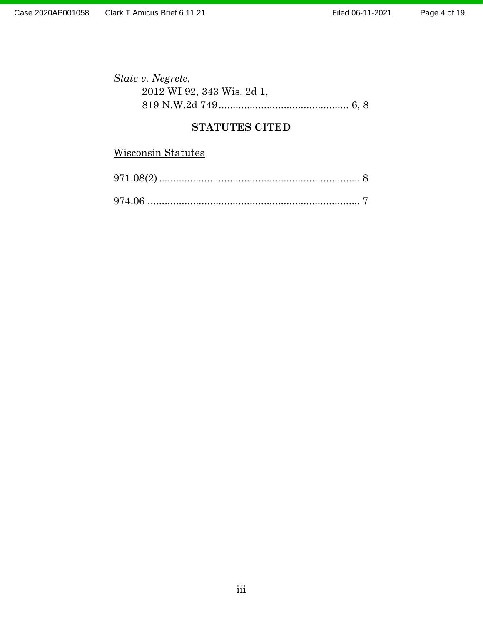| State v. Negrete,          |  |
|----------------------------|--|
| 2012 WI 92, 343 Wis. 2d 1, |  |
|                            |  |

## STATUTES CITED

# Wisconsin Statutes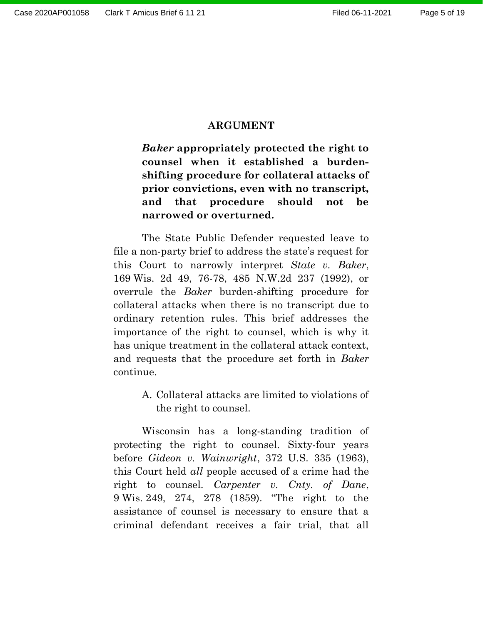## ARGUMENT

Baker appropriately protected the right to counsel when it established a burdenshifting procedure for collateral attacks of prior convictions, even with no transcript, and that procedure should not be narrowed or overturned.

The State Public Defender requested leave to file a non-party brief to address the state's request for this Court to narrowly interpret State v. Baker, 169 Wis. 2d 49, 76-78, 485 N.W.2d 237 (1992), or overrule the Baker burden-shifting procedure for collateral attacks when there is no transcript due to ordinary retention rules. This brief addresses the importance of the right to counsel, which is why it has unique treatment in the collateral attack context, and requests that the procedure set forth in Baker continue.

> A. Collateral attacks are limited to violations of the right to counsel.

Wisconsin has a long-standing tradition of protecting the right to counsel. Sixty-four years before Gideon v. Wainwright, 372 U.S. 335 (1963), this Court held all people accused of a crime had the right to counsel. Carpenter v. Cnty. of Dane, 9 Wis. 249, 274, 278 (1859). "The right to the assistance of counsel is necessary to ensure that a criminal defendant receives a fair trial, that all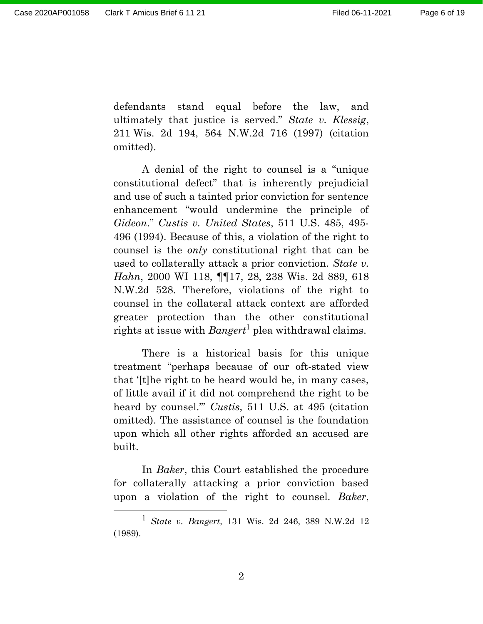$\overline{a}$ 

defendants stand equal before the law, and ultimately that justice is served." State v. Klessig, 211 Wis. 2d 194, 564 N.W.2d 716 (1997) (citation omitted).

A denial of the right to counsel is a "unique constitutional defect" that is inherently prejudicial and use of such a tainted prior conviction for sentence enhancement "would undermine the principle of Gideon." Custis v. United States, 511 U.S. 485, 495- 496 (1994). Because of this, a violation of the right to counsel is the only constitutional right that can be used to collaterally attack a prior conviction. State v. Hahn, 2000 WI 118, ¶¶17, 28, 238 Wis. 2d 889, 618 N.W.2d 528. Therefore, violations of the right to counsel in the collateral attack context are afforded greater protection than the other constitutional rights at issue with  $Bangert^1$  plea withdrawal claims.

There is a historical basis for this unique treatment "perhaps because of our oft-stated view that '[t]he right to be heard would be, in many cases, of little avail if it did not comprehend the right to be heard by counsel.'" Custis, 511 U.S. at 495 (citation omitted). The assistance of counsel is the foundation upon which all other rights afforded an accused are built.

In Baker, this Court established the procedure for collaterally attacking a prior conviction based upon a violation of the right to counsel. Baker,

2

 $1$  State v. Bangert, 131 Wis. 2d 246, 389 N.W.2d 12 (1989).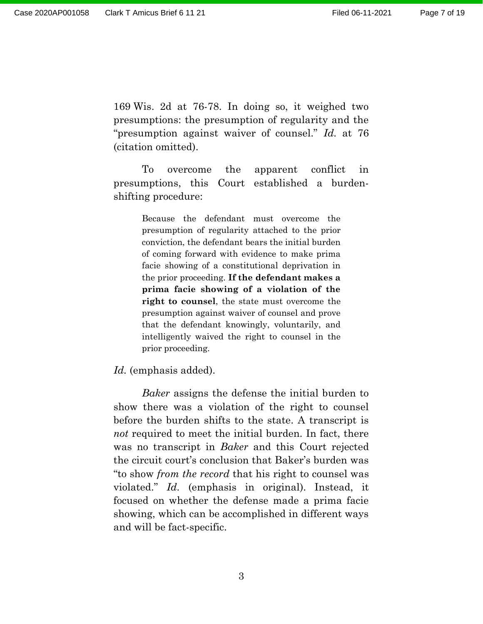169 Wis. 2d at 76-78. In doing so, it weighed two presumptions: the presumption of regularity and the "presumption against waiver of counsel." Id. at 76 (citation omitted).

To overcome the apparent conflict in presumptions, this Court established a burdenshifting procedure:

> Because the defendant must overcome the presumption of regularity attached to the prior conviction, the defendant bears the initial burden of coming forward with evidence to make prima facie showing of a constitutional deprivation in the prior proceeding. If the defendant makes a prima facie showing of a violation of the right to counsel, the state must overcome the presumption against waiver of counsel and prove that the defendant knowingly, voluntarily, and intelligently waived the right to counsel in the prior proceeding.

Id. (emphasis added).

Baker assigns the defense the initial burden to show there was a violation of the right to counsel before the burden shifts to the state. A transcript is not required to meet the initial burden. In fact, there was no transcript in Baker and this Court rejected the circuit court's conclusion that Baker's burden was "to show from the record that his right to counsel was violated." Id. (emphasis in original). Instead, it focused on whether the defense made a prima facie showing, which can be accomplished in different ways and will be fact-specific.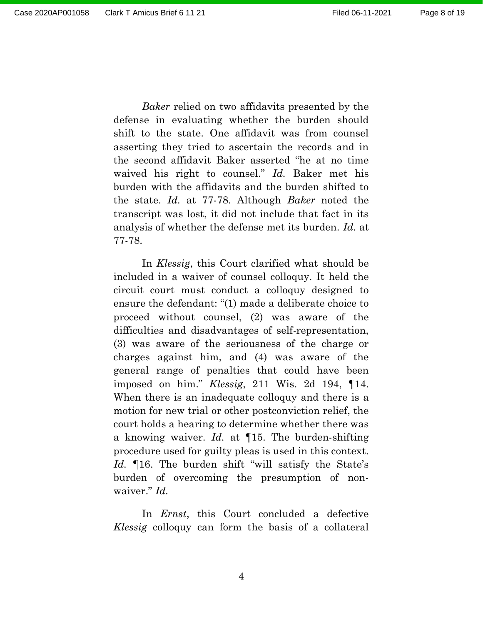Page 8 of 19

Baker relied on two affidavits presented by the defense in evaluating whether the burden should shift to the state. One affidavit was from counsel asserting they tried to ascertain the records and in the second affidavit Baker asserted "he at no time waived his right to counsel." Id. Baker met his burden with the affidavits and the burden shifted to the state. Id. at 77-78. Although Baker noted the transcript was lost, it did not include that fact in its analysis of whether the defense met its burden. Id. at 77-78.

In Klessig, this Court clarified what should be included in a waiver of counsel colloquy. It held the circuit court must conduct a colloquy designed to ensure the defendant: "(1) made a deliberate choice to proceed without counsel, (2) was aware of the difficulties and disadvantages of self-representation, (3) was aware of the seriousness of the charge or charges against him, and (4) was aware of the general range of penalties that could have been imposed on him." Klessig, 211 Wis. 2d 194, ¶14. When there is an inadequate colloquy and there is a motion for new trial or other postconviction relief, the court holds a hearing to determine whether there was a knowing waiver. Id. at  $\P$ 15. The burden-shifting procedure used for guilty pleas is used in this context. Id. 16. The burden shift "will satisfy the State's burden of overcoming the presumption of nonwaiver." *Id.* 

In *Ernst*, this Court concluded a defective Klessig colloquy can form the basis of a collateral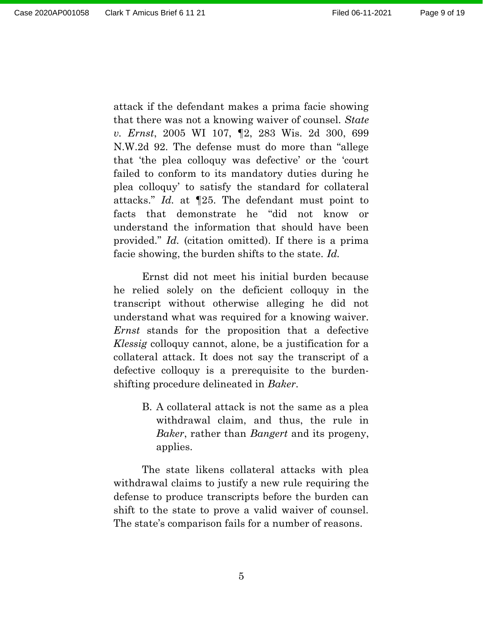attack if the defendant makes a prima facie showing that there was not a knowing waiver of counsel. State v. Ernst, 2005 WI 107, ¶2, 283 Wis. 2d 300, 699 N.W.2d 92. The defense must do more than "allege that 'the plea colloquy was defective' or the 'court failed to conform to its mandatory duties during he plea colloquy' to satisfy the standard for collateral attacks." Id. at ¶25. The defendant must point to facts that demonstrate he "did not know or understand the information that should have been provided." Id. (citation omitted). If there is a prima facie showing, the burden shifts to the state. Id.

Ernst did not meet his initial burden because he relied solely on the deficient colloquy in the transcript without otherwise alleging he did not understand what was required for a knowing waiver. Ernst stands for the proposition that a defective Klessig colloquy cannot, alone, be a justification for a collateral attack. It does not say the transcript of a defective colloquy is a prerequisite to the burdenshifting procedure delineated in Baker.

> B. A collateral attack is not the same as a plea withdrawal claim, and thus, the rule in Baker, rather than Bangert and its progeny, applies.

The state likens collateral attacks with plea withdrawal claims to justify a new rule requiring the defense to produce transcripts before the burden can shift to the state to prove a valid waiver of counsel. The state's comparison fails for a number of reasons.

5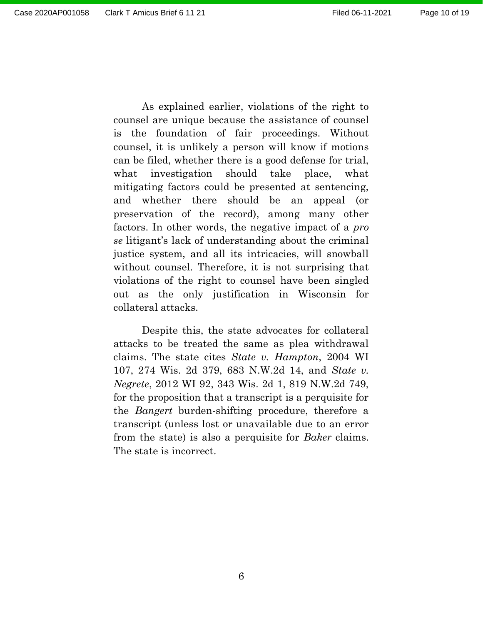As explained earlier, violations of the right to counsel are unique because the assistance of counsel is the foundation of fair proceedings. Without counsel, it is unlikely a person will know if motions can be filed, whether there is a good defense for trial, what investigation should take place, what mitigating factors could be presented at sentencing, and whether there should be an appeal (or preservation of the record), among many other factors. In other words, the negative impact of a pro se litigant's lack of understanding about the criminal justice system, and all its intricacies, will snowball without counsel. Therefore, it is not surprising that violations of the right to counsel have been singled out as the only justification in Wisconsin for collateral attacks.

Despite this, the state advocates for collateral attacks to be treated the same as plea withdrawal claims. The state cites State v. Hampton, 2004 WI 107, 274 Wis. 2d 379, 683 N.W.2d 14, and State v. Negrete, 2012 WI 92, 343 Wis. 2d 1, 819 N.W.2d 749, for the proposition that a transcript is a perquisite for the Bangert burden-shifting procedure, therefore a transcript (unless lost or unavailable due to an error from the state) is also a perquisite for Baker claims. The state is incorrect.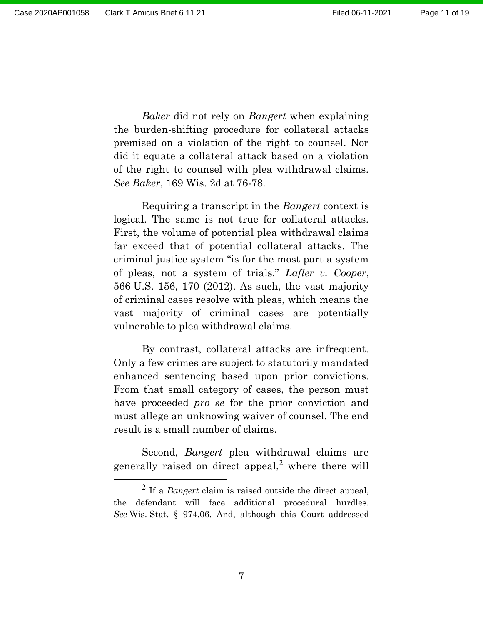$\overline{a}$ 

Baker did not rely on Bangert when explaining the burden-shifting procedure for collateral attacks premised on a violation of the right to counsel. Nor did it equate a collateral attack based on a violation of the right to counsel with plea withdrawal claims. See Baker, 169 Wis. 2d at 76-78.

Requiring a transcript in the Bangert context is logical. The same is not true for collateral attacks. First, the volume of potential plea withdrawal claims far exceed that of potential collateral attacks. The criminal justice system "is for the most part a system of pleas, not a system of trials." Lafler v. Cooper, 566 U.S. 156, 170 (2012). As such, the vast majority of criminal cases resolve with pleas, which means the vast majority of criminal cases are potentially vulnerable to plea withdrawal claims.

By contrast, collateral attacks are infrequent. Only a few crimes are subject to statutorily mandated enhanced sentencing based upon prior convictions. From that small category of cases, the person must have proceeded *pro se* for the prior conviction and must allege an unknowing waiver of counsel. The end result is a small number of claims.

Second, Bangert plea withdrawal claims are generally raised on direct appeal,<sup>2</sup> where there will

<sup>&</sup>lt;sup>2</sup> If a *Bangert* claim is raised outside the direct appeal, the defendant will face additional procedural hurdles. See Wis. Stat. § 974.06. And, although this Court addressed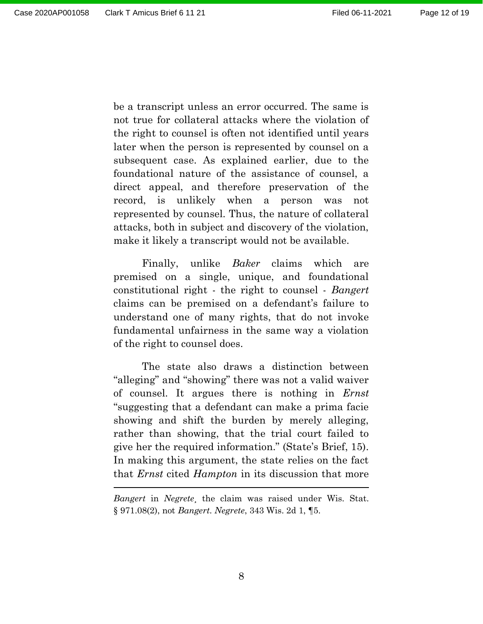be a transcript unless an error occurred. The same is not true for collateral attacks where the violation of the right to counsel is often not identified until years later when the person is represented by counsel on a subsequent case. As explained earlier, due to the foundational nature of the assistance of counsel, a direct appeal, and therefore preservation of the record, is unlikely when a person was not represented by counsel. Thus, the nature of collateral attacks, both in subject and discovery of the violation, make it likely a transcript would not be available.

Finally, unlike Baker claims which are premised on a single, unique, and foundational constitutional right - the right to counsel - Bangert claims can be premised on a defendant's failure to understand one of many rights, that do not invoke fundamental unfairness in the same way a violation of the right to counsel does.

The state also draws a distinction between "alleging" and "showing" there was not a valid waiver of counsel. It argues there is nothing in Ernst "suggesting that a defendant can make a prima facie showing and shift the burden by merely alleging, rather than showing, that the trial court failed to give her the required information." (State's Brief, 15). In making this argument, the state relies on the fact that Ernst cited Hampton in its discussion that more

Bangert in Negrete, the claim was raised under Wis. Stat. § 971.08(2), not Bangert. Negrete, 343 Wis. 2d 1, ¶5.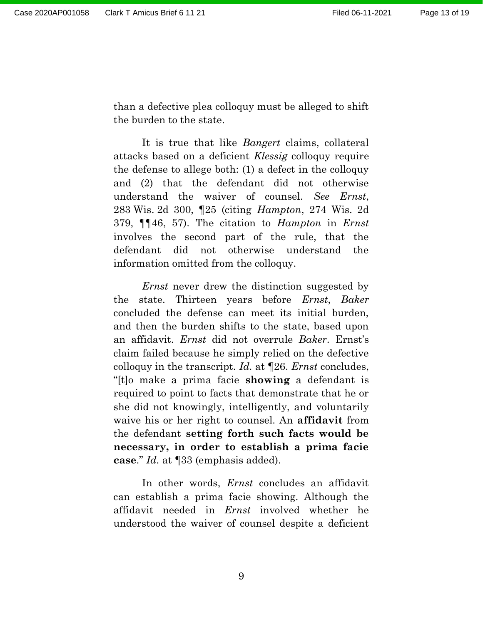than a defective plea colloquy must be alleged to shift the burden to the state.

It is true that like *Bangert* claims, collateral attacks based on a deficient Klessig colloquy require the defense to allege both: (1) a defect in the colloquy and (2) that the defendant did not otherwise understand the waiver of counsel. See Ernst, 283 Wis. 2d 300, ¶25 (citing Hampton, 274 Wis. 2d 379, ¶¶46, 57). The citation to Hampton in Ernst involves the second part of the rule, that the defendant did not otherwise understand the information omitted from the colloquy.

Ernst never drew the distinction suggested by the state. Thirteen years before Ernst, Baker concluded the defense can meet its initial burden, and then the burden shifts to the state, based upon an affidavit. Ernst did not overrule Baker. Ernst's claim failed because he simply relied on the defective colloquy in the transcript. Id. at ¶26. Ernst concludes, "[t]o make a prima facie showing a defendant is required to point to facts that demonstrate that he or she did not knowingly, intelligently, and voluntarily waive his or her right to counsel. An **affidavit** from the defendant setting forth such facts would be necessary, in order to establish a prima facie case." Id. at ¶33 (emphasis added).

In other words, *Ernst* concludes an affidavit can establish a prima facie showing. Although the affidavit needed in Ernst involved whether he understood the waiver of counsel despite a deficient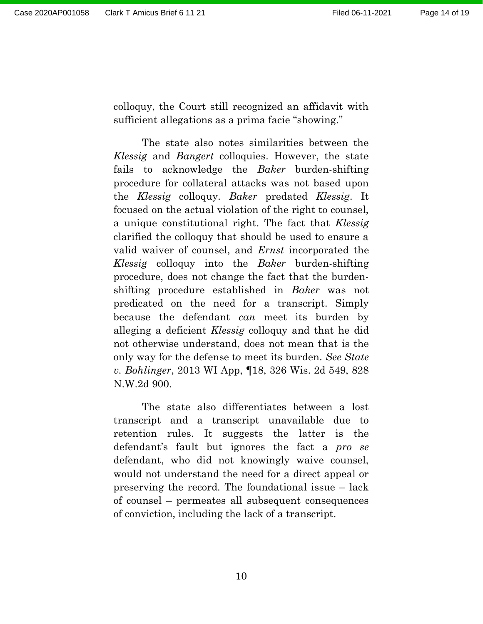colloquy, the Court still recognized an affidavit with sufficient allegations as a prima facie "showing."

The state also notes similarities between the Klessig and Bangert colloquies. However, the state fails to acknowledge the Baker burden-shifting procedure for collateral attacks was not based upon the Klessig colloquy. Baker predated Klessig. It focused on the actual violation of the right to counsel, a unique constitutional right. The fact that Klessig clarified the colloquy that should be used to ensure a valid waiver of counsel, and Ernst incorporated the Klessig colloquy into the Baker burden-shifting procedure, does not change the fact that the burdenshifting procedure established in Baker was not predicated on the need for a transcript. Simply because the defendant can meet its burden by alleging a deficient Klessig colloquy and that he did not otherwise understand, does not mean that is the only way for the defense to meet its burden. See State v. Bohlinger, 2013 WI App, ¶18, 326 Wis. 2d 549, 828 N.W.2d 900.

The state also differentiates between a lost transcript and a transcript unavailable due to retention rules. It suggests the latter is the defendant's fault but ignores the fact a pro se defendant, who did not knowingly waive counsel, would not understand the need for a direct appeal or preserving the record. The foundational issue – lack of counsel – permeates all subsequent consequences of conviction, including the lack of a transcript.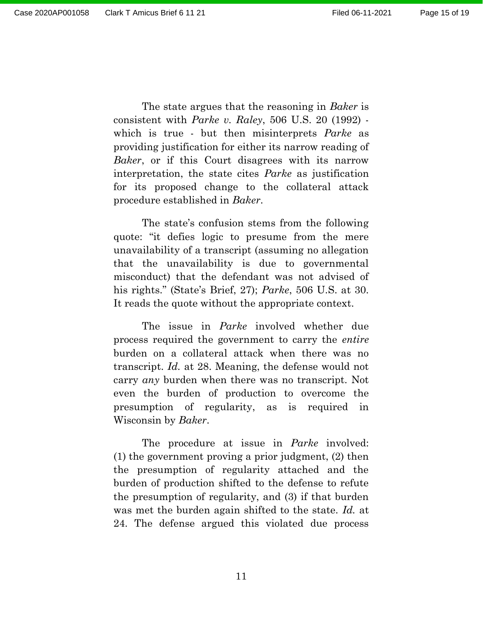The state argues that the reasoning in Baker is consistent with Parke v. Raley, 506 U.S. 20 (1992) which is true - but then misinterprets *Parke* as providing justification for either its narrow reading of Baker, or if this Court disagrees with its narrow interpretation, the state cites Parke as justification for its proposed change to the collateral attack procedure established in Baker.

The state's confusion stems from the following quote: "it defies logic to presume from the mere unavailability of a transcript (assuming no allegation that the unavailability is due to governmental misconduct) that the defendant was not advised of his rights." (State's Brief, 27); Parke, 506 U.S. at 30. It reads the quote without the appropriate context.

The issue in Parke involved whether due process required the government to carry the entire burden on a collateral attack when there was no transcript. Id. at 28. Meaning, the defense would not carry any burden when there was no transcript. Not even the burden of production to overcome the presumption of regularity, as is required in Wisconsin by Baker.

The procedure at issue in *Parke* involved: (1) the government proving a prior judgment, (2) then the presumption of regularity attached and the burden of production shifted to the defense to refute the presumption of regularity, and (3) if that burden was met the burden again shifted to the state. Id. at 24. The defense argued this violated due process

11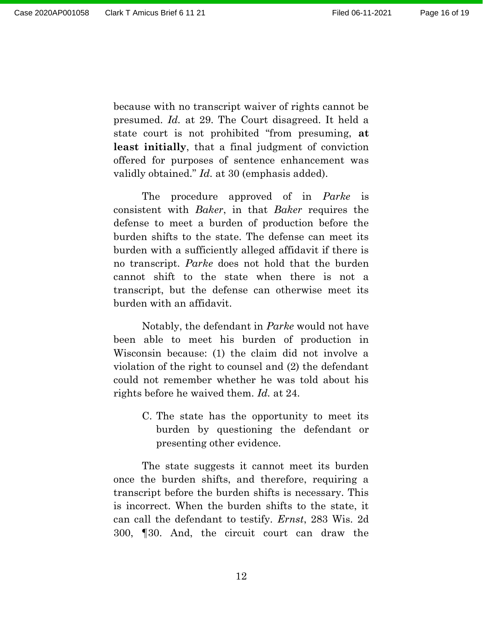because with no transcript waiver of rights cannot be presumed. Id. at 29. The Court disagreed. It held a state court is not prohibited "from presuming, at least initially, that a final judgment of conviction offered for purposes of sentence enhancement was validly obtained." Id. at 30 (emphasis added).

The procedure approved of in *Parke* is consistent with Baker, in that Baker requires the defense to meet a burden of production before the burden shifts to the state. The defense can meet its burden with a sufficiently alleged affidavit if there is no transcript. Parke does not hold that the burden cannot shift to the state when there is not a transcript, but the defense can otherwise meet its burden with an affidavit.

Notably, the defendant in Parke would not have been able to meet his burden of production in Wisconsin because: (1) the claim did not involve a violation of the right to counsel and (2) the defendant could not remember whether he was told about his rights before he waived them. Id. at 24.

> C. The state has the opportunity to meet its burden by questioning the defendant or presenting other evidence.

The state suggests it cannot meet its burden once the burden shifts, and therefore, requiring a transcript before the burden shifts is necessary. This is incorrect. When the burden shifts to the state, it can call the defendant to testify. Ernst, 283 Wis. 2d 300, ¶30. And, the circuit court can draw the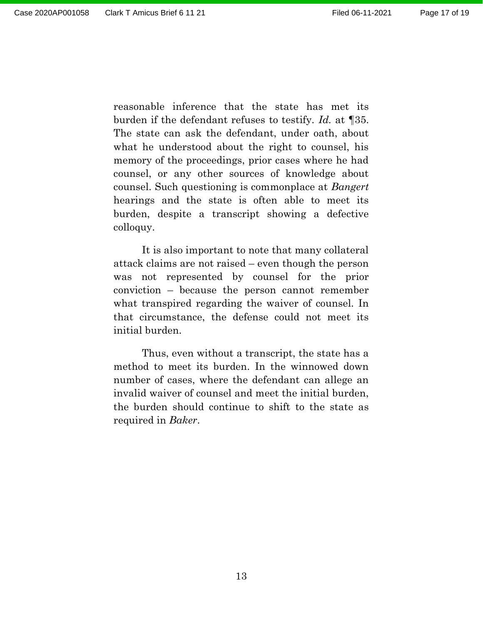reasonable inference that the state has met its burden if the defendant refuses to testify. Id. at ¶35. The state can ask the defendant, under oath, about what he understood about the right to counsel, his memory of the proceedings, prior cases where he had counsel, or any other sources of knowledge about counsel. Such questioning is commonplace at Bangert hearings and the state is often able to meet its burden, despite a transcript showing a defective colloquy.

It is also important to note that many collateral attack claims are not raised – even though the person was not represented by counsel for the prior conviction – because the person cannot remember what transpired regarding the waiver of counsel. In that circumstance, the defense could not meet its initial burden.

 Thus, even without a transcript, the state has a method to meet its burden. In the winnowed down number of cases, where the defendant can allege an invalid waiver of counsel and meet the initial burden, the burden should continue to shift to the state as required in Baker.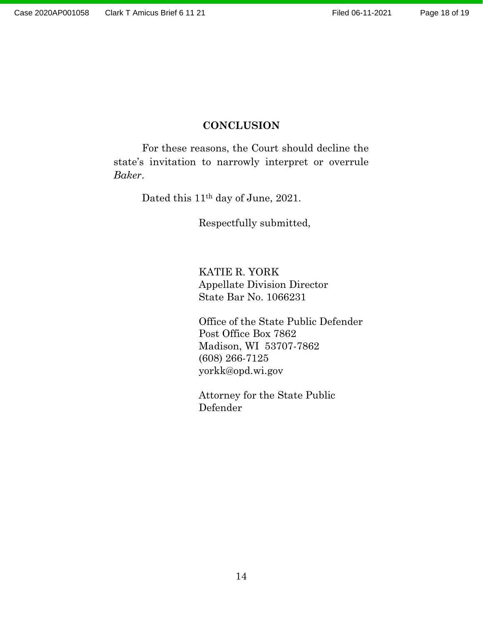## **CONCLUSION**

For these reasons, the Court should decline the state's invitation to narrowly interpret or overrule Baker.

Dated this 11th day of June, 2021.

Respectfully submitted,

KATIE R. YORK Appellate Division Director State Bar No. 1066231

Office of the State Public Defender Post Office Box 7862 Madison, WI 53707-7862 (608) 266-7125 yorkk@opd.wi.gov

Attorney for the State Public Defender